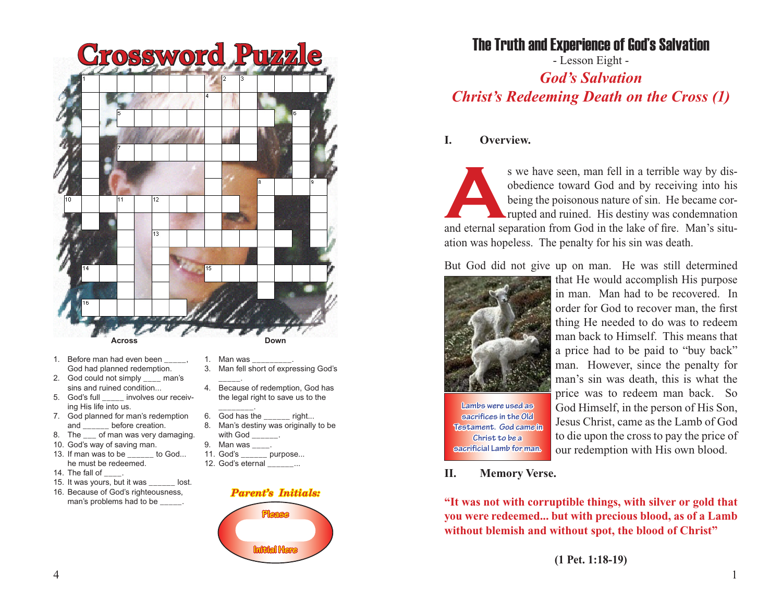

- 1. Before man had even been God had planned redemption.
- 2. God could not simply \_\_\_\_ man's sins and ruined condition...<br>5. God's full involves ou
- involves our receiving His life into us.
- 7. God planned for man's redemption and \_\_\_\_\_\_ before creation.
- 8. The \_\_\_ of man was very damaging.
- 10. God's way of saving man.
- 13. If man was to be to God... he must be redeemed.
- 14. The fall of .
- 15. It was vours, but it was lost.
- 16. Because of God's righteousness, man's problems had to be \_\_\_\_\_.
- 
- 1. Man was
- 3. Man fell short of expressing God's \_\_\_\_\_.
- 4. Because of redemption, God has the legal right to save us to the
- \_\_\_\_\_\_\_\_. 6. God has the right...
- 8. Man's destiny was originally to be with God \_\_\_\_\_\_\_.
- 9. Man was \_\_\_\_.
- 
- 11. God's \_\_\_\_\_\_ purpose... 12. God's eternal ...
	- *Parent's Initials:* **Please Initial Here**

# The Truth and Experience of God's Salvation

- Lesson Eight - *God's Salvation Christ's Redeeming Death on the Cross (1)*

## **I. Overview.**

S we have seen, man fell in a terrible way by disobedience toward God and by receiving into his being the poisonous nature of sin. He became corrupted and ruined. His destiny was condemnation and eternal separation from Go obedience toward God and by receiving into his being the poisonous nature of sin. He became corrupted and ruined. His destiny was condemnation ation was hopeless. The penalty for his sin was death.

But God did not give up on man. He was still determined



**Lambs were used as sacrifices in the Old Testament. God came in Christ to be a sacrificial Lamb for man.**

that He would accomplish His purpose in man. Man had to be recovered. In order for God to recover man, the first thing He needed to do was to redeem man back to Himself. This means that a price had to be paid to "buy back" man. However, since the penalty for man's sin was death, this is what the price was to redeem man back. So God Himself, in the person of His Son, Jesus Christ, came as the Lamb of God to die upon the cross to pay the price of our redemption with His own blood.

### **II. Memory Verse.**

**"It was not with corruptible things, with silver or gold that you were redeemed... but with precious blood, as of a Lamb without blemish and without spot, the blood of Christ"**